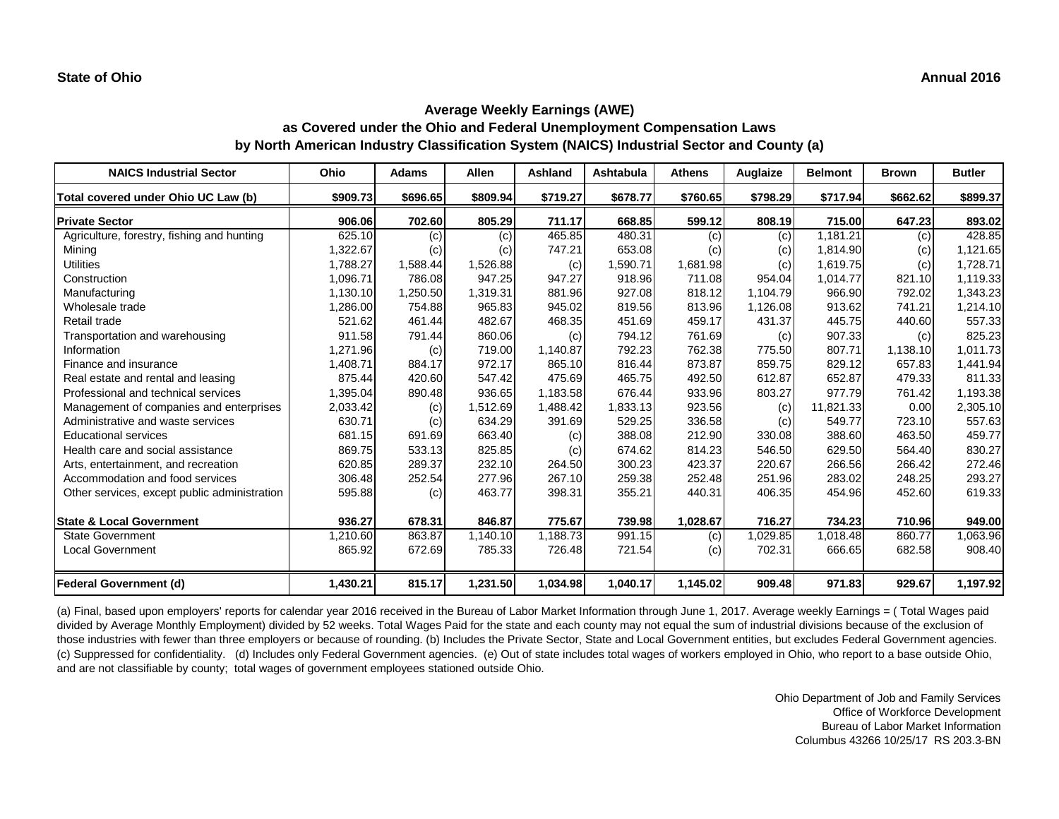| <b>NAICS Industrial Sector</b>               | Ohio     | <b>Adams</b> | <b>Allen</b> | <b>Ashland</b> | <b>Ashtabula</b> | <b>Athens</b> | <b>Auglaize</b> | <b>Belmont</b> | <b>Brown</b> | <b>Butler</b> |
|----------------------------------------------|----------|--------------|--------------|----------------|------------------|---------------|-----------------|----------------|--------------|---------------|
| Total covered under Ohio UC Law (b)          | \$909.73 | \$696.65     | \$809.94     | \$719.27       | \$678.77         | \$760.65      | \$798.29        | \$717.94       | \$662.62     | \$899.37      |
| <b>Private Sector</b>                        | 906.06   | 702.60       | 805.29       | 711.17         | 668.85           | 599.12        | 808.19          | 715.00         | 647.23       | 893.02        |
| Agriculture, forestry, fishing and hunting   | 625.10   | (c)          | (c)          | 465.85         | 480.31           | (c)           | (c)             | 1,181.21       | (c)          | 428.85        |
| Mining                                       | 1,322.67 | (c)          | (c)          | 747.21         | 653.08           | (c)           | (c)             | 1,814.90       | (c)          | 1,121.65      |
| <b>Utilities</b>                             | 1,788.27 | 1,588.44     | 1,526.88     | (c)            | 1,590.71         | 1,681.98      | (c)             | 1,619.75       | (c)          | 1,728.71      |
| Construction                                 | 1,096.71 | 786.08       | 947.25       | 947.27         | 918.96           | 711.08        | 954.04          | 1,014.77       | 821.10       | 1,119.33      |
| Manufacturing                                | 1,130.10 | 1,250.50     | 1,319.31     | 881.96         | 927.08           | 818.12        | 1,104.79        | 966.90         | 792.02       | 1,343.23      |
| Wholesale trade                              | 1,286.00 | 754.88       | 965.83       | 945.02         | 819.56           | 813.96        | 1,126.08        | 913.62         | 741.21       | 1,214.10      |
| Retail trade                                 | 521.62   | 461.44       | 482.67       | 468.35         | 451.69           | 459.17        | 431.37          | 445.75         | 440.60       | 557.33        |
| Transportation and warehousing               | 911.58   | 791.44       | 860.06       | (c)            | 794.12           | 761.69        | (c)             | 907.33         | (c)          | 825.23        |
| Information                                  | 1,271.96 | (c)          | 719.00       | 1,140.87       | 792.23           | 762.38        | 775.50          | 807.71         | 1,138.10     | 1,011.73      |
| Finance and insurance                        | 1,408.71 | 884.17       | 972.17       | 865.10         | 816.44           | 873.87        | 859.75          | 829.12         | 657.83       | 1,441.94      |
| Real estate and rental and leasing           | 875.44   | 420.60       | 547.42       | 475.69         | 465.75           | 492.50        | 612.87          | 652.87         | 479.33       | 811.33        |
| Professional and technical services          | 1,395.04 | 890.48       | 936.65       | 1,183.58       | 676.44           | 933.96        | 803.27          | 977.79         | 761.42       | 1,193.38      |
| Management of companies and enterprises      | 2,033.42 | (c)          | 1,512.69     | 1,488.42       | 1,833.13         | 923.56        | (c)             | 11,821.33      | 0.00         | 2,305.10      |
| Administrative and waste services            | 630.71   | (c)          | 634.29       | 391.69         | 529.25           | 336.58        | (c)             | 549.77         | 723.10       | 557.63        |
| <b>Educational services</b>                  | 681.15   | 691.69       | 663.40       | (c)            | 388.08           | 212.90        | 330.08          | 388.60         | 463.50       | 459.77        |
| Health care and social assistance            | 869.75   | 533.13       | 825.85       | (c)            | 674.62           | 814.23        | 546.50          | 629.50         | 564.40       | 830.27        |
| Arts, entertainment, and recreation          | 620.85   | 289.37       | 232.10       | 264.50         | 300.23           | 423.37        | 220.67          | 266.56         | 266.42       | 272.46        |
| Accommodation and food services              | 306.48   | 252.54       | 277.96       | 267.10         | 259.38           | 252.48        | 251.96          | 283.02         | 248.25       | 293.27        |
| Other services, except public administration | 595.88   | (c)          | 463.77       | 398.31         | 355.21           | 440.31        | 406.35          | 454.96         | 452.60       | 619.33        |
| <b>State &amp; Local Government</b>          | 936.27   | 678.31       | 846.87       | 775.67         | 739.98           | 1,028.67      | 716.27          | 734.23         | 710.96       | 949.00        |
| <b>State Government</b>                      | 1,210.60 | 863.87       | 1,140.10     | 1,188.73       | 991.15           | (c)           | 1,029.85        | 1,018.48       | 860.77       | 1,063.96      |
| <b>Local Government</b>                      | 865.92   | 672.69       | 785.33       | 726.48         | 721.54           | (c)           | 702.31          | 666.65         | 682.58       | 908.40        |
| <b>Federal Government (d)</b>                | 1,430.21 | 815.17       | 1,231.50     | 1,034.98       | 1,040.17         | 1,145.02      | 909.48          | 971.83         | 929.67       | 1,197.92      |

(a) Final, based upon employers' reports for calendar year 2016 received in the Bureau of Labor Market Information through June 1, 2017. Average weekly Earnings = ( Total Wages paid divided by Average Monthly Employment) divided by 52 weeks. Total Wages Paid for the state and each county may not equal the sum of industrial divisions because of the exclusion of those industries with fewer than three employers or because of rounding. (b) Includes the Private Sector, State and Local Government entities, but excludes Federal Government agencies. (c) Suppressed for confidentiality. (d) Includes only Federal Government agencies. (e) Out of state includes total wages of workers employed in Ohio, who report to a base outside Ohio, and are not classifiable by county; total wages of government employees stationed outside Ohio.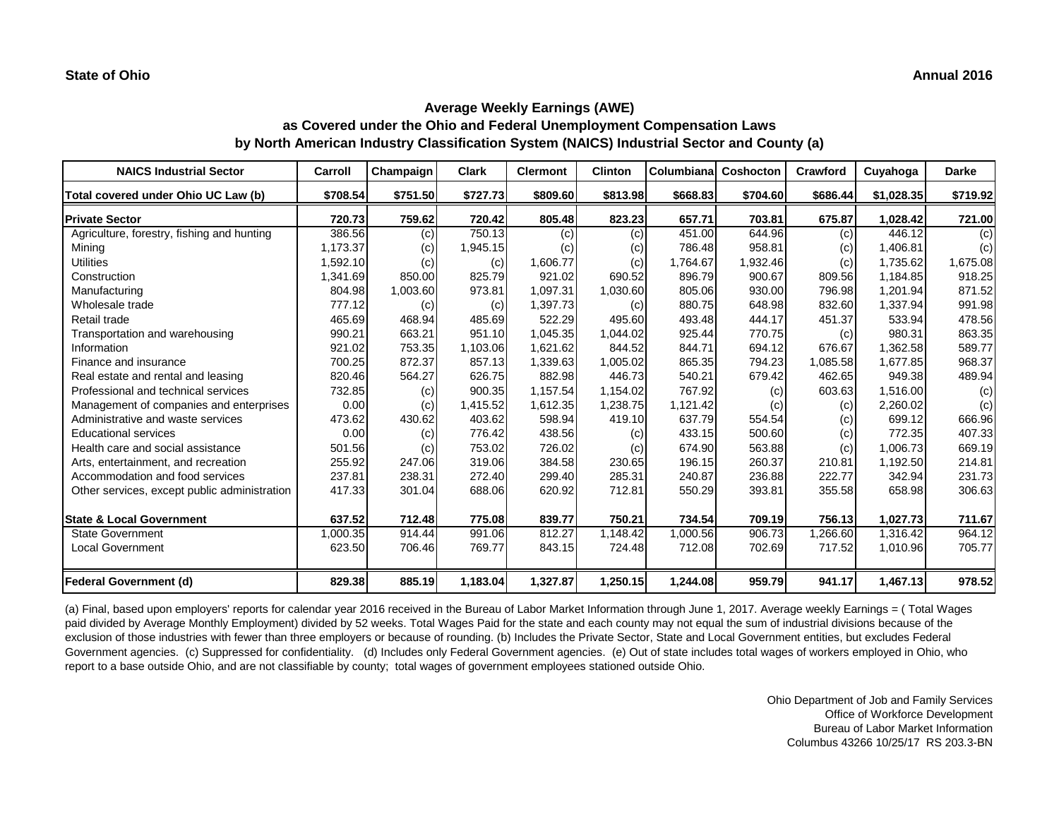| <b>NAICS Industrial Sector</b>               | Carroll  | Champaign | <b>Clark</b> | <b>Clermont</b> | <b>Clinton</b> | Columbiana | <b>Coshocton</b> | <b>Crawford</b> | Cuyahoga   | <b>Darke</b> |
|----------------------------------------------|----------|-----------|--------------|-----------------|----------------|------------|------------------|-----------------|------------|--------------|
| Total covered under Ohio UC Law (b)          | \$708.54 | \$751.50  | \$727.73     | \$809.60        | \$813.98       | \$668.83   | \$704.60         | \$686.44        | \$1,028.35 | \$719.92     |
| <b>Private Sector</b>                        | 720.73   | 759.62    | 720.42       | 805.48          | 823.23         | 657.71     | 703.81           | 675.87          | 1,028.42   | 721.00       |
| Agriculture, forestry, fishing and hunting   | 386.56   | (c)       | 750.13       | (c)             | (c)            | 451.00     | 644.96           | (c)             | 446.12     | (c)          |
| Mining                                       | 1,173.37 | (c)       | 1,945.15     | (c)             | (c)            | 786.48     | 958.81           | (c)             | 1,406.81   | (c)          |
| <b>Utilities</b>                             | 1,592.10 | (c)       | (c)          | 1,606.77        | (c)            | 1,764.67   | 1,932.46         | (c)             | 1,735.62   | 1,675.08     |
| Construction                                 | 1,341.69 | 850.00    | 825.79       | 921.02          | 690.52         | 896.79     | 900.67           | 809.56          | 1,184.85   | 918.25       |
| Manufacturing                                | 804.98   | 1,003.60  | 973.81       | 1,097.31        | 1,030.60       | 805.06     | 930.00           | 796.98          | 1,201.94   | 871.52       |
| Wholesale trade                              | 777.12   | (c)       | (c)          | 1,397.73        | (c)            | 880.75     | 648.98           | 832.60          | 1,337.94   | 991.98       |
| Retail trade                                 | 465.69   | 468.94    | 485.69       | 522.29          | 495.60         | 493.48     | 444.17           | 451.37          | 533.94     | 478.56       |
| Transportation and warehousing               | 990.21   | 663.21    | 951.10       | 1,045.35        | 1,044.02       | 925.44     | 770.75           | (c)             | 980.31     | 863.35       |
| Information                                  | 921.02   | 753.35    | 1,103.06     | 1,621.62        | 844.52         | 844.71     | 694.12           | 676.67          | 1,362.58   | 589.77       |
| Finance and insurance                        | 700.25   | 872.37    | 857.13       | 1,339.63        | 1,005.02       | 865.35     | 794.23           | 1,085.58        | 1,677.85   | 968.37       |
| Real estate and rental and leasing           | 820.46   | 564.27    | 626.75       | 882.98          | 446.73         | 540.21     | 679.42           | 462.65          | 949.38     | 489.94       |
| Professional and technical services          | 732.85   | (c)       | 900.35       | 1,157.54        | 1,154.02       | 767.92     | (c)              | 603.63          | 1,516.00   | (c)          |
| Management of companies and enterprises      | 0.00     | (c)       | 1,415.52     | 1,612.35        | 1,238.75       | 1,121.42   | (c)              | (c)             | 2,260.02   | (c)          |
| Administrative and waste services            | 473.62   | 430.62    | 403.62       | 598.94          | 419.10         | 637.79     | 554.54           | (c)             | 699.12     | 666.96       |
| <b>Educational services</b>                  | 0.00     | (c)       | 776.42       | 438.56          | (c)            | 433.15     | 500.60           | (c)             | 772.35     | 407.33       |
| Health care and social assistance            | 501.56   | (c)       | 753.02       | 726.02          | (c)            | 674.90     | 563.88           | (c)             | 1,006.73   | 669.19       |
| Arts, entertainment, and recreation          | 255.92   | 247.06    | 319.06       | 384.58          | 230.65         | 196.15     | 260.37           | 210.81          | 1,192.50   | 214.81       |
| Accommodation and food services              | 237.81   | 238.31    | 272.40       | 299.40          | 285.31         | 240.87     | 236.88           | 222.77          | 342.94     | 231.73       |
| Other services, except public administration | 417.33   | 301.04    | 688.06       | 620.92          | 712.81         | 550.29     | 393.81           | 355.58          | 658.98     | 306.63       |
| <b>State &amp; Local Government</b>          | 637.52   | 712.48    | 775.08       | 839.77          | 750.21         | 734.54     | 709.19           | 756.13          | 1,027.73   | 711.67       |
| <b>State Government</b>                      | 1,000.35 | 914.44    | 991.06       | 812.27          | 1,148.42       | 1,000.56   | 906.73           | 1,266.60        | 1,316.42   | 964.12       |
| <b>Local Government</b>                      | 623.50   | 706.46    | 769.77       | 843.15          | 724.48         | 712.08     | 702.69           | 717.52          | 1,010.96   | 705.77       |
| <b>Federal Government (d)</b>                | 829.38   | 885.19    | 1,183.04     | 1,327.87        | 1,250.15       | 1,244.08   | 959.79           | 941.17          | 1,467.13   | 978.52       |

(a) Final, based upon employers' reports for calendar year 2016 received in the Bureau of Labor Market Information through June 1, 2017. Average weekly Earnings = ( Total Wages paid divided by Average Monthly Employment) divided by 52 weeks. Total Wages Paid for the state and each county may not equal the sum of industrial divisions because of the exclusion of those industries with fewer than three employers or because of rounding. (b) Includes the Private Sector, State and Local Government entities, but excludes Federal Government agencies. (c) Suppressed for confidentiality. (d) Includes only Federal Government agencies. (e) Out of state includes total wages of workers employed in Ohio, who report to a base outside Ohio, and are not classifiable by county; total wages of government employees stationed outside Ohio.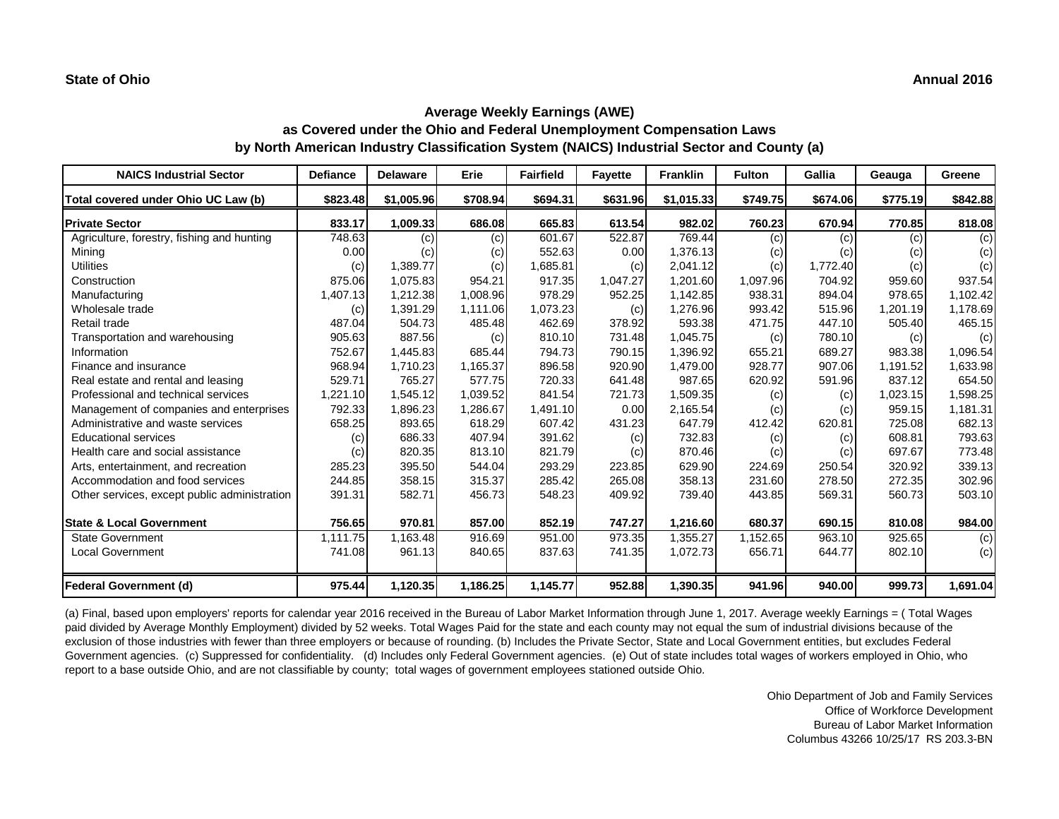| <b>NAICS Industrial Sector</b>               | <b>Defiance</b> | <b>Delaware</b> | Erie     | <b>Fairfield</b> | <b>Fayette</b> | <b>Franklin</b> | <b>Fulton</b> | Gallia   | Geauga   | Greene   |
|----------------------------------------------|-----------------|-----------------|----------|------------------|----------------|-----------------|---------------|----------|----------|----------|
| Total covered under Ohio UC Law (b)          | \$823.48        | \$1,005.96      | \$708.94 | \$694.31         | \$631.96       | \$1,015.33      | \$749.75      | \$674.06 | \$775.19 | \$842.88 |
| <b>Private Sector</b>                        | 833.17          | 1,009.33        | 686.08   | 665.83           | 613.54         | 982.02          | 760.23        | 670.94   | 770.85   | 818.08   |
| Agriculture, forestry, fishing and hunting   | 748.63          | (c)             | (c)      | 601.67           | 522.87         | 769.44          | (c)           | (c)      | (c)      | (c)      |
| Mining                                       | 0.00            | (c)             | (c)      | 552.63           | 0.00           | 1,376.13        | (c)           | (c)      | (c)      | (c)      |
| <b>Utilities</b>                             | (c)             | 1,389.77        | (c)      | 1,685.81         | (c)            | 2,041.12        | (c)           | 1,772.40 | (c)      | (c)      |
| Construction                                 | 875.06          | 1,075.83        | 954.21   | 917.35           | 1,047.27       | 1,201.60        | 1,097.96      | 704.92   | 959.60   | 937.54   |
| Manufacturing                                | 1,407.13        | 1,212.38        | 1,008.96 | 978.29           | 952.25         | 1,142.85        | 938.31        | 894.04   | 978.65   | 1,102.42 |
| Wholesale trade                              | (c)             | 1,391.29        | 1,111.06 | 1,073.23         | (c)            | 1,276.96        | 993.42        | 515.96   | 1,201.19 | 1,178.69 |
| Retail trade                                 | 487.04          | 504.73          | 485.48   | 462.69           | 378.92         | 593.38          | 471.75        | 447.10   | 505.40   | 465.15   |
| Transportation and warehousing               | 905.63          | 887.56          | (c)      | 810.10           | 731.48         | 1,045.75        | (c)           | 780.10   | (c)      | (c)      |
| Information                                  | 752.67          | 1,445.83        | 685.44   | 794.73           | 790.15         | 1,396.92        | 655.21        | 689.27   | 983.38   | 1,096.54 |
| Finance and insurance                        | 968.94          | 1,710.23        | 1,165.37 | 896.58           | 920.90         | 1,479.00        | 928.77        | 907.06   | 1,191.52 | 1,633.98 |
| Real estate and rental and leasing           | 529.71          | 765.27          | 577.75   | 720.33           | 641.48         | 987.65          | 620.92        | 591.96   | 837.12   | 654.50   |
| Professional and technical services          | 1,221.10        | 1,545.12        | 1,039.52 | 841.54           | 721.73         | 1,509.35        | (c)           | (c)      | 1,023.15 | 1,598.25 |
| Management of companies and enterprises      | 792.33          | 1,896.23        | 1,286.67 | 1,491.10         | 0.00           | 2,165.54        | (c)           | (c)      | 959.15   | 1,181.31 |
| Administrative and waste services            | 658.25          | 893.65          | 618.29   | 607.42           | 431.23         | 647.79          | 412.42        | 620.81   | 725.08   | 682.13   |
| <b>Educational services</b>                  | (c)             | 686.33          | 407.94   | 391.62           | (c)            | 732.83          | (c)           | (c)      | 608.81   | 793.63   |
| Health care and social assistance            | (c)             | 820.35          | 813.10   | 821.79           | (c)            | 870.46          | (c)           | (c)      | 697.67   | 773.48   |
| Arts, entertainment, and recreation          | 285.23          | 395.50          | 544.04   | 293.29           | 223.85         | 629.90          | 224.69        | 250.54   | 320.92   | 339.13   |
| Accommodation and food services              | 244.85          | 358.15          | 315.37   | 285.42           | 265.08         | 358.13          | 231.60        | 278.50   | 272.35   | 302.96   |
| Other services, except public administration | 391.31          | 582.71          | 456.73   | 548.23           | 409.92         | 739.40          | 443.85        | 569.31   | 560.73   | 503.10   |
| <b>State &amp; Local Government</b>          | 756.65          | 970.81          | 857.00   | 852.19           | 747.27         | 1,216.60        | 680.37        | 690.15   | 810.08   | 984.00   |
| State Government                             | 1,111.75        | 1,163.48        | 916.69   | 951.00           | 973.35         | 1,355.27        | 1,152.65      | 963.10   | 925.65   | (c)      |
| <b>Local Government</b>                      | 741.08          | 961.13          | 840.65   | 837.63           | 741.35         | 1,072.73        | 656.71        | 644.77   | 802.10   | (c)      |
| Federal Government (d)                       | 975.44          | 1,120.35        | 1,186.25 | 1,145.77         | 952.88         | 1,390.35        | 941.96        | 940.00   | 999.73   | 1,691.04 |

(a) Final, based upon employers' reports for calendar year 2016 received in the Bureau of Labor Market Information through June 1, 2017. Average weekly Earnings = ( Total Wages paid divided by Average Monthly Employment) divided by 52 weeks. Total Wages Paid for the state and each county may not equal the sum of industrial divisions because of the exclusion of those industries with fewer than three employers or because of rounding. (b) Includes the Private Sector, State and Local Government entities, but excludes Federal Government agencies. (c) Suppressed for confidentiality. (d) Includes only Federal Government agencies. (e) Out of state includes total wages of workers employed in Ohio, who report to a base outside Ohio, and are not classifiable by county; total wages of government employees stationed outside Ohio.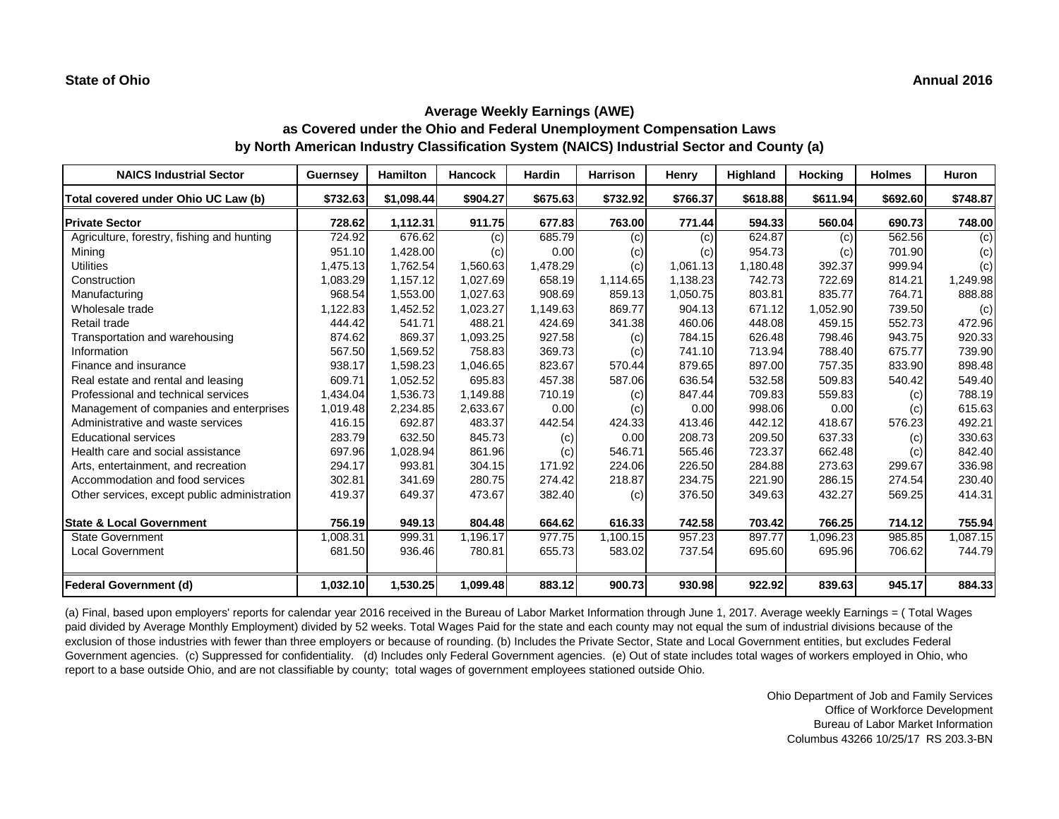| <b>NAICS Industrial Sector</b>               | <b>Guernsey</b> | <b>Hamilton</b> | <b>Hancock</b> | <b>Hardin</b> | <b>Harrison</b> | <b>Henry</b> | Highland | <b>Hocking</b> | <b>Holmes</b> | <b>Huron</b> |
|----------------------------------------------|-----------------|-----------------|----------------|---------------|-----------------|--------------|----------|----------------|---------------|--------------|
| Total covered under Ohio UC Law (b)          | \$732.63        | \$1,098.44      | \$904.27       | \$675.63      | \$732.92        | \$766.37     | \$618.88 | \$611.94       | \$692.60      | \$748.87     |
| <b>Private Sector</b>                        | 728.62          | 1,112.31        | 911.75         | 677.83        | 763.00          | 771.44       | 594.33   | 560.04         | 690.73        | 748.00       |
| Agriculture, forestry, fishing and hunting   | 724.92          | 676.62          | (c)            | 685.79        | (c)             | (c)          | 624.87   | (c)            | 562.56        | (c)          |
| Mining                                       | 951.10          | 1,428.00        | (c)            | 0.00          | (c)             | (c)          | 954.73   | (c)            | 701.90        | (c)          |
| <b>Utilities</b>                             | 1,475.13        | 1,762.54        | 1,560.63       | 1,478.29      | (c)             | 1,061.13     | 1,180.48 | 392.37         | 999.94        | (c)          |
| Construction                                 | 1,083.29        | 1,157.12        | 1,027.69       | 658.19        | 1,114.65        | 1,138.23     | 742.73   | 722.69         | 814.21        | 1,249.98     |
| Manufacturing                                | 968.54          | 1,553.00        | 1,027.63       | 908.69        | 859.13          | 1,050.75     | 803.81   | 835.77         | 764.71        | 888.88       |
| Wholesale trade                              | 1,122.83        | 1,452.52        | 1,023.27       | 1,149.63      | 869.77          | 904.13       | 671.12   | 1,052.90       | 739.50        | (c)          |
| Retail trade                                 | 444.42          | 541.71          | 488.21         | 424.69        | 341.38          | 460.06       | 448.08   | 459.15         | 552.73        | 472.96       |
| Transportation and warehousing               | 874.62          | 869.37          | 1,093.25       | 927.58        | (c)             | 784.15       | 626.48   | 798.46         | 943.75        | 920.33       |
| Information                                  | 567.50          | 1,569.52        | 758.83         | 369.73        | (c)             | 741.10       | 713.94   | 788.40         | 675.77        | 739.90       |
| Finance and insurance                        | 938.17          | 1,598.23        | 1,046.65       | 823.67        | 570.44          | 879.65       | 897.00   | 757.35         | 833.90        | 898.48       |
| Real estate and rental and leasing           | 609.71          | 1,052.52        | 695.83         | 457.38        | 587.06          | 636.54       | 532.58   | 509.83         | 540.42        | 549.40       |
| Professional and technical services          | 1,434.04        | 1,536.73        | 1,149.88       | 710.19        | (c)             | 847.44       | 709.83   | 559.83         | (c)           | 788.19       |
| Management of companies and enterprises      | 1,019.48        | 2,234.85        | 2,633.67       | 0.00          | (c)             | 0.00         | 998.06   | 0.00           | (c)           | 615.63       |
| Administrative and waste services            | 416.15          | 692.87          | 483.37         | 442.54        | 424.33          | 413.46       | 442.12   | 418.67         | 576.23        | 492.21       |
| <b>Educational services</b>                  | 283.79          | 632.50          | 845.73         | (c)           | 0.00            | 208.73       | 209.50   | 637.33         | (c)           | 330.63       |
| Health care and social assistance            | 697.96          | 1,028.94        | 861.96         | (c)           | 546.71          | 565.46       | 723.37   | 662.48         | (c)           | 842.40       |
| Arts, entertainment, and recreation          | 294.17          | 993.81          | 304.15         | 171.92        | 224.06          | 226.50       | 284.88   | 273.63         | 299.67        | 336.98       |
| Accommodation and food services              | 302.81          | 341.69          | 280.75         | 274.42        | 218.87          | 234.75       | 221.90   | 286.15         | 274.54        | 230.40       |
| Other services, except public administration | 419.37          | 649.37          | 473.67         | 382.40        | (c)             | 376.50       | 349.63   | 432.27         | 569.25        | 414.31       |
| <b>State &amp; Local Government</b>          | 756.19          | 949.13          | 804.48         | 664.62        | 616.33          | 742.58       | 703.42   | 766.25         | 714.12        | 755.94       |
| <b>State Government</b>                      | 1,008.31        | 999.31          | 1,196.17       | 977.75        | 1,100.15        | 957.23       | 897.77   | 1,096.23       | 985.85        | ,087.15      |
| <b>Local Government</b>                      | 681.50          | 936.46          | 780.81         | 655.73        | 583.02          | 737.54       | 695.60   | 695.96         | 706.62        | 744.79       |
| Federal Government (d)                       | 1,032.10        | 1,530.25        | 1,099.48       | 883.12        | 900.73          | 930.98       | 922.92   | 839.63         | 945.17        | 884.33       |

(a) Final, based upon employers' reports for calendar year 2016 received in the Bureau of Labor Market Information through June 1, 2017. Average weekly Earnings = ( Total Wages paid divided by Average Monthly Employment) divided by 52 weeks. Total Wages Paid for the state and each county may not equal the sum of industrial divisions because of the exclusion of those industries with fewer than three employers or because of rounding. (b) Includes the Private Sector, State and Local Government entities, but excludes Federal Government agencies. (c) Suppressed for confidentiality. (d) Includes only Federal Government agencies. (e) Out of state includes total wages of workers employed in Ohio, who report to a base outside Ohio, and are not classifiable by county; total wages of government employees stationed outside Ohio.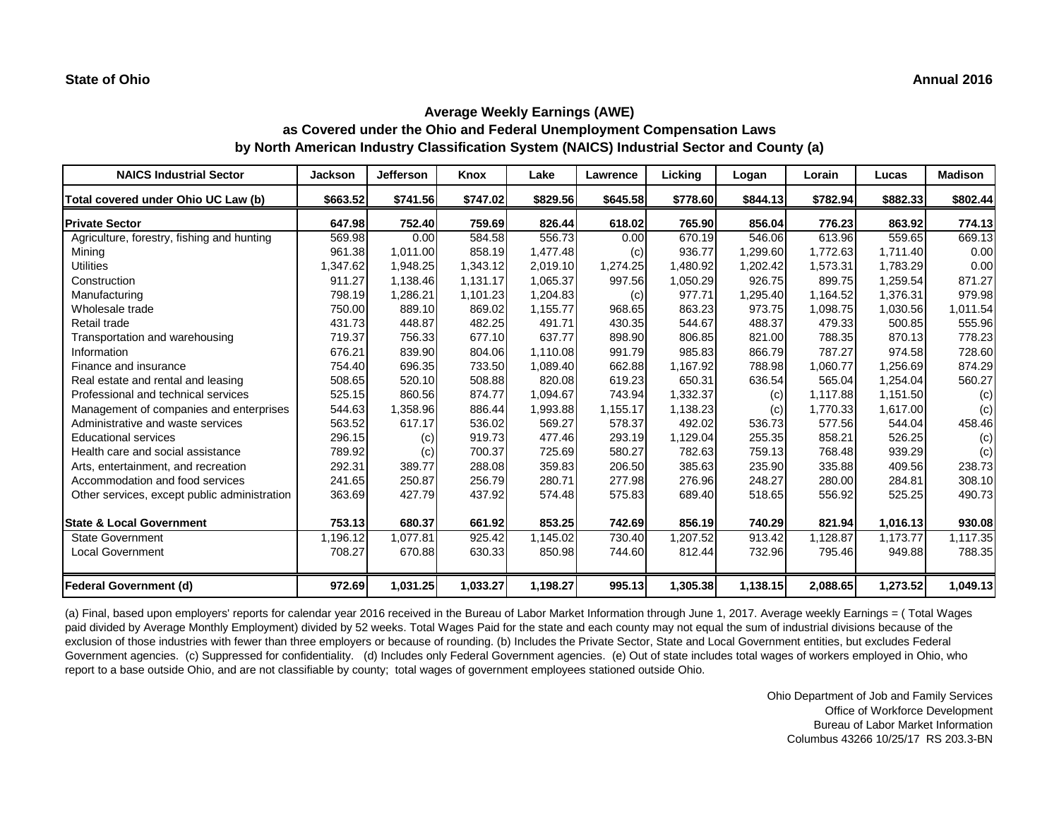| <b>NAICS Industrial Sector</b>               | <b>Jackson</b> | Jefferson | Knox     | Lake     | Lawrence | Licking  | Logan    | Lorain   | Lucas    | <b>Madison</b> |
|----------------------------------------------|----------------|-----------|----------|----------|----------|----------|----------|----------|----------|----------------|
| Total covered under Ohio UC Law (b)          | \$663.52       | \$741.56  | \$747.02 | \$829.56 | \$645.58 | \$778.60 | \$844.13 | \$782.94 | \$882.33 | \$802.44       |
| <b>Private Sector</b>                        | 647.98         | 752.40    | 759.69   | 826.44   | 618.02   | 765.90   | 856.04   | 776.23   | 863.92   | 774.13         |
| Agriculture, forestry, fishing and hunting   | 569.98         | 0.00      | 584.58   | 556.73   | 0.00     | 670.19   | 546.06   | 613.96   | 559.65   | 669.13         |
| Mining                                       | 961.38         | 1,011.00  | 858.19   | 1,477.48 | (c)      | 936.77   | 1,299.60 | 1,772.63 | 1,711.40 | 0.00           |
| <b>Utilities</b>                             | 1,347.62       | 1,948.25  | 1,343.12 | 2,019.10 | 1,274.25 | 1,480.92 | 1,202.42 | 1,573.31 | 1,783.29 | 0.00           |
| Construction                                 | 911.27         | 1,138.46  | 1,131.17 | 1,065.37 | 997.56   | 1,050.29 | 926.75   | 899.75   | 1,259.54 | 871.27         |
| Manufacturing                                | 798.19         | 1,286.21  | 1,101.23 | 1,204.83 | (c)      | 977.71   | 1,295.40 | 1,164.52 | 1,376.31 | 979.98         |
| Wholesale trade                              | 750.00         | 889.10    | 869.02   | 1,155.77 | 968.65   | 863.23   | 973.75   | 1,098.75 | 1,030.56 | 1,011.54       |
| Retail trade                                 | 431.73         | 448.87    | 482.25   | 491.71   | 430.35   | 544.67   | 488.37   | 479.33   | 500.85   | 555.96         |
| Transportation and warehousing               | 719.37         | 756.33    | 677.10   | 637.77   | 898.90   | 806.85   | 821.00   | 788.35   | 870.13   | 778.23         |
| Information                                  | 676.21         | 839.90    | 804.06   | 1,110.08 | 991.79   | 985.83   | 866.79   | 787.27   | 974.58   | 728.60         |
| Finance and insurance                        | 754.40         | 696.35    | 733.50   | 1,089.40 | 662.88   | 1,167.92 | 788.98   | 1,060.77 | 1,256.69 | 874.29         |
| Real estate and rental and leasing           | 508.65         | 520.10    | 508.88   | 820.08   | 619.23   | 650.31   | 636.54   | 565.04   | 1,254.04 | 560.27         |
| Professional and technical services          | 525.15         | 860.56    | 874.77   | 1,094.67 | 743.94   | 1,332.37 | (c)      | 1,117.88 | 1,151.50 | (c)            |
| Management of companies and enterprises      | 544.63         | 1,358.96  | 886.44   | 1,993.88 | 1,155.17 | 1,138.23 | (c)      | 1,770.33 | 1,617.00 | (c)            |
| Administrative and waste services            | 563.52         | 617.17    | 536.02   | 569.27   | 578.37   | 492.02   | 536.73   | 577.56   | 544.04   | 458.46         |
| <b>Educational services</b>                  | 296.15         | (c)       | 919.73   | 477.46   | 293.19   | 1,129.04 | 255.35   | 858.21   | 526.25   | (c)            |
| Health care and social assistance            | 789.92         | (c)       | 700.37   | 725.69   | 580.27   | 782.63   | 759.13   | 768.48   | 939.29   | (c)            |
| Arts, entertainment, and recreation          | 292.31         | 389.77    | 288.08   | 359.83   | 206.50   | 385.63   | 235.90   | 335.88   | 409.56   | 238.73         |
| Accommodation and food services              | 241.65         | 250.87    | 256.79   | 280.71   | 277.98   | 276.96   | 248.27   | 280.00   | 284.81   | 308.10         |
| Other services, except public administration | 363.69         | 427.79    | 437.92   | 574.48   | 575.83   | 689.40   | 518.65   | 556.92   | 525.25   | 490.73         |
| <b>State &amp; Local Government</b>          | 753.13         | 680.37    | 661.92   | 853.25   | 742.69   | 856.19   | 740.29   | 821.94   | 1,016.13 | 930.08         |
| State Government                             | 1,196.12       | 1,077.81  | 925.42   | 1,145.02 | 730.40   | 1,207.52 | 913.42   | 1,128.87 | 1,173.77 | 1,117.35       |
| <b>Local Government</b>                      | 708.27         | 670.88    | 630.33   | 850.98   | 744.60   | 812.44   | 732.96   | 795.46   | 949.88   | 788.35         |
| Federal Government (d)                       | 972.69         | 1,031.25  | 1,033.27 | 1,198.27 | 995.13   | 1,305.38 | 1,138.15 | 2,088.65 | 1,273.52 | 1,049.13       |

(a) Final, based upon employers' reports for calendar year 2016 received in the Bureau of Labor Market Information through June 1, 2017. Average weekly Earnings = ( Total Wages paid divided by Average Monthly Employment) divided by 52 weeks. Total Wages Paid for the state and each county may not equal the sum of industrial divisions because of the exclusion of those industries with fewer than three employers or because of rounding. (b) Includes the Private Sector, State and Local Government entities, but excludes Federal Government agencies. (c) Suppressed for confidentiality. (d) Includes only Federal Government agencies. (e) Out of state includes total wages of workers employed in Ohio, who report to a base outside Ohio, and are not classifiable by county; total wages of government employees stationed outside Ohio.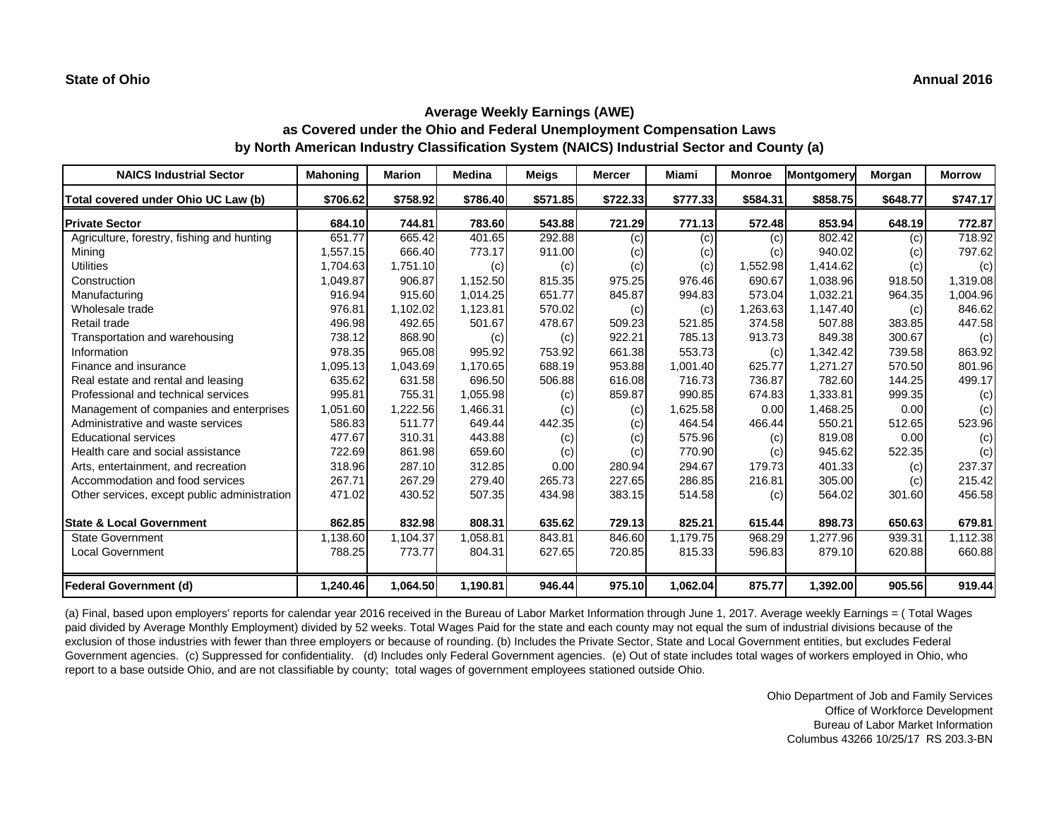| <b>NAICS Industrial Sector</b>               | <b>Mahoning</b> | <b>Marion</b> | <b>Medina</b> | <b>Meigs</b> | <b>Mercer</b> | Miami    | <b>Monroe</b> | Montgomery | Morgan   | <b>Morrow</b> |
|----------------------------------------------|-----------------|---------------|---------------|--------------|---------------|----------|---------------|------------|----------|---------------|
| Total covered under Ohio UC Law (b)          | \$706.62        | \$758.92      | \$786.40      | \$571.85     | \$722.33      | \$777.33 | \$584.31      | \$858.75   | \$648.77 | \$747.17      |
| <b>Private Sector</b>                        | 684.10          | 744.81        | 783.60        | 543.88       | 721.29        | 771.13   | 572.48        | 853.94     | 648.19   | 772.87        |
| Agriculture, forestry, fishing and hunting   | 651.77          | 665.42        | 401.65        | 292.88       | (c)           | (c)      | (c)           | 802.42     | (c)      | 718.92        |
| Mining                                       | 1,557.15        | 666.40        | 773.17        | 911.00       | (c)           | (c)      | (c)           | 940.02     | (c)      | 797.62        |
| <b>Utilities</b>                             | 1,704.63        | 1,751.10      | (c)           | (c)          | (c)           | (c)      | 1,552.98      | 1,414.62   | (c)      | (c)           |
| Construction                                 | 1,049.87        | 906.87        | 1,152.50      | 815.35       | 975.25        | 976.46   | 690.67        | 1,038.96   | 918.50   | 1,319.08      |
| Manufacturing                                | 916.94          | 915.60        | 1,014.25      | 651.77       | 845.87        | 994.83   | 573.04        | 1,032.21   | 964.35   | 1,004.96      |
| Wholesale trade                              | 976.81          | 1,102.02      | 1,123.81      | 570.02       | (c)           | (c)      | 1,263.63      | 1,147.40   | (c)      | 846.62        |
| Retail trade                                 | 496.98          | 492.65        | 501.67        | 478.67       | 509.23        | 521.85   | 374.58        | 507.88     | 383.85   | 447.58        |
| Transportation and warehousing               | 738.12          | 868.90        | (c)           | (c)          | 922.21        | 785.13   | 913.73        | 849.38     | 300.67   | (c)           |
| Information                                  | 978.35          | 965.08        | 995.92        | 753.92       | 661.38        | 553.73   | (c)           | 1,342.42   | 739.58   | 863.92        |
| Finance and insurance                        | 1,095.13        | 1,043.69      | 1,170.65      | 688.19       | 953.88        | 1,001.40 | 625.77        | 1,271.27   | 570.50   | 801.96        |
| Real estate and rental and leasing           | 635.62          | 631.58        | 696.50        | 506.88       | 616.08        | 716.73   | 736.87        | 782.60     | 144.25   | 499.17        |
| Professional and technical services          | 995.81          | 755.31        | 1,055.98      | (c)          | 859.87        | 990.85   | 674.83        | 1,333.81   | 999.35   | (c)           |
| Management of companies and enterprises      | 1,051.60        | 1,222.56      | 1,466.31      | (c)          | (c)           | 1,625.58 | 0.00          | 1,468.25   | 0.00     | (c)           |
| Administrative and waste services            | 586.83          | 511.77        | 649.44        | 442.35       | (c)           | 464.54   | 466.44        | 550.21     | 512.65   | 523.96        |
| <b>Educational services</b>                  | 477.67          | 310.31        | 443.88        | (c)          | (c)           | 575.96   | (c)           | 819.08     | 0.00     | (c)           |
| Health care and social assistance            | 722.69          | 861.98        | 659.60        | (c)          | (c)           | 770.90   | (c)           | 945.62     | 522.35   | (c)           |
| Arts, entertainment, and recreation          | 318.96          | 287.10        | 312.85        | 0.00         | 280.94        | 294.67   | 179.73        | 401.33     | (c)      | 237.37        |
| Accommodation and food services              | 267.71          | 267.29        | 279.40        | 265.73       | 227.65        | 286.85   | 216.81        | 305.00     | (c)      | 215.42        |
| Other services, except public administration | 471.02          | 430.52        | 507.35        | 434.98       | 383.15        | 514.58   | (c)           | 564.02     | 301.60   | 456.58        |
| <b>State &amp; Local Government</b>          | 862.85          | 832.98        | 808.31        | 635.62       | 729.13        | 825.21   | 615.44        | 898.73     | 650.63   | 679.81        |
| State Government                             | 1,138.60        | 1,104.37      | 1,058.81      | 843.81       | 846.60        | 1,179.75 | 968.29        | 1,277.96   | 939.31   | 1,112.38      |
| <b>Local Government</b>                      | 788.25          | 773.77        | 804.31        | 627.65       | 720.85        | 815.33   | 596.83        | 879.10     | 620.88   | 660.88        |
| Federal Government (d)                       | 1,240.46        | 1,064.50      | 1,190.81      | 946.44       | 975.10        | 1,062.04 | 875.77        | 1,392.00   | 905.56   | 919.44        |

(a) Final, based upon employers' reports for calendar year 2016 received in the Bureau of Labor Market Information through June 1, 2017. Average weekly Earnings = ( Total Wages paid divided by Average Monthly Employment) divided by 52 weeks. Total Wages Paid for the state and each county may not equal the sum of industrial divisions because of the exclusion of those industries with fewer than three employers or because of rounding. (b) Includes the Private Sector, State and Local Government entities, but excludes Federal Government agencies. (c) Suppressed for confidentiality. (d) Includes only Federal Government agencies. (e) Out of state includes total wages of workers employed in Ohio, who report to a base outside Ohio, and are not classifiable by county; total wages of government employees stationed outside Ohio.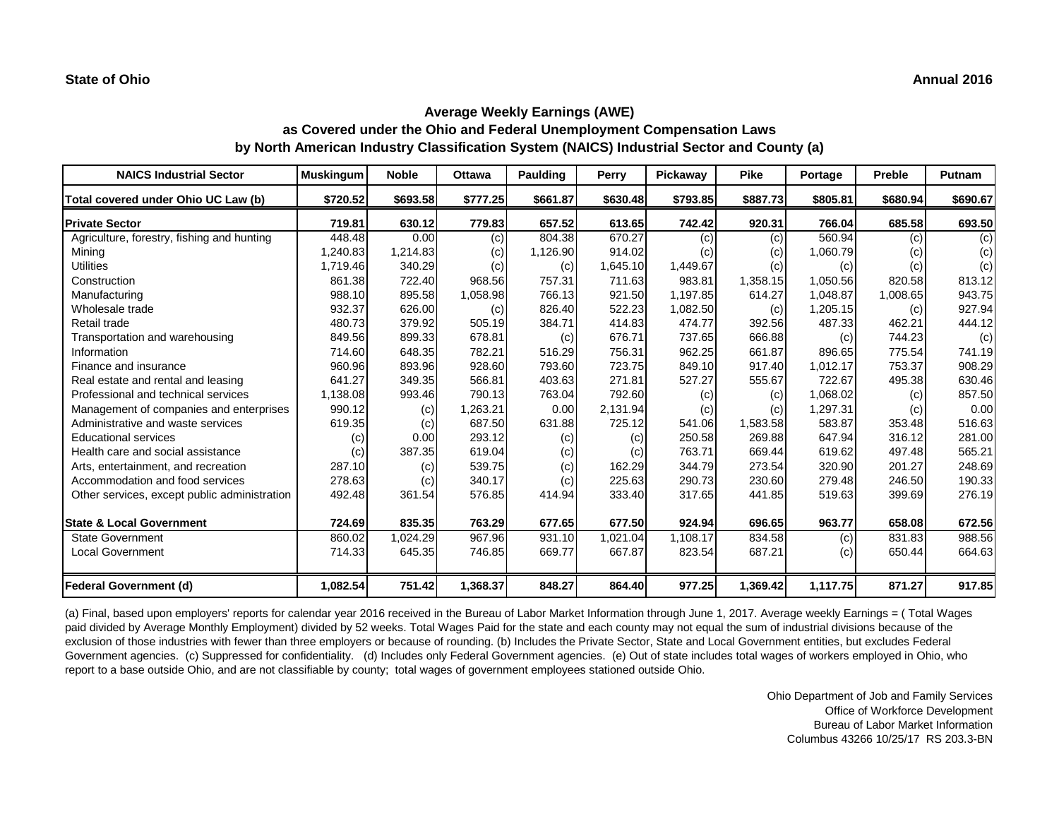| <b>NAICS Industrial Sector</b>               | <b>Muskingum</b>  | <b>Noble</b> | <b>Ottawa</b> | <b>Paulding</b> | <b>Perry</b> | Pickaway | <b>Pike</b> | Portage  | <b>Preble</b> | Putnam   |
|----------------------------------------------|-------------------|--------------|---------------|-----------------|--------------|----------|-------------|----------|---------------|----------|
| Total covered under Ohio UC Law (b)          | \$720.52          | \$693.58     | \$777.25      | \$661.87        | \$630.48     | \$793.85 | \$887.73    | \$805.81 | \$680.94      | \$690.67 |
| <b>Private Sector</b>                        | 719.81            | 630.12       | 779.83        | 657.52          | 613.65       | 742.42   | 920.31      | 766.04   | 685.58        | 693.50   |
| Agriculture, forestry, fishing and hunting   | 448.48            | 0.00         | (c)           | 804.38          | 670.27       | (c)      | (c)         | 560.94   | (c)           | (c)      |
| Mining                                       | 1,240.83          | 1,214.83     | (c)           | 1,126.90        | 914.02       | (c)      | (c)         | 1,060.79 | (c)           | (c)      |
| <b>Utilities</b>                             | 1,719.46          | 340.29       | (c)           | (c)             | 1,645.10     | 1,449.67 | (c)         | (c)      | (c)           | (c)      |
| Construction                                 | 861.38            | 722.40       | 968.56        | 757.31          | 711.63       | 983.81   | 1,358.15    | 1,050.56 | 820.58        | 813.12   |
| Manufacturing                                | 988.10            | 895.58       | 1,058.98      | 766.13          | 921.50       | 1,197.85 | 614.27      | 1,048.87 | 1,008.65      | 943.75   |
| Wholesale trade                              | 932.37            | 626.00       | (c)           | 826.40          | 522.23       | 1,082.50 | (c)         | 1,205.15 | (c)           | 927.94   |
| Retail trade                                 | 480.73            | 379.92       | 505.19        | 384.71          | 414.83       | 474.77   | 392.56      | 487.33   | 462.21        | 444.12   |
| Transportation and warehousing               | 849.56            | 899.33       | 678.81        | (c)             | 676.71       | 737.65   | 666.88      | (c)      | 744.23        | (c)      |
| Information                                  | 714.60            | 648.35       | 782.21        | 516.29          | 756.31       | 962.25   | 661.87      | 896.65   | 775.54        | 741.19   |
| Finance and insurance                        | 960.96            | 893.96       | 928.60        | 793.60          | 723.75       | 849.10   | 917.40      | 1,012.17 | 753.37        | 908.29   |
| Real estate and rental and leasing           | 641.27            | 349.35       | 566.81        | 403.63          | 271.81       | 527.27   | 555.67      | 722.67   | 495.38        | 630.46   |
| Professional and technical services          | 1,138.08          | 993.46       | 790.13        | 763.04          | 792.60       | (c)      | (c)         | 1,068.02 | (c)           | 857.50   |
| Management of companies and enterprises      | 990.12            | (c)          | ,263.21       | 0.00            | 2,131.94     | (c)      | (c)         | 1,297.31 | (c)           | 0.00     |
| Administrative and waste services            | 619.35            | (c)          | 687.50        | 631.88          | 725.12       | 541.06   | 1,583.58    | 583.87   | 353.48        | 516.63   |
| <b>Educational services</b>                  | $\left( c\right)$ | 0.00         | 293.12        | (c)             | (c)          | 250.58   | 269.88      | 647.94   | 316.12        | 281.00   |
| Health care and social assistance            | (c)               | 387.35       | 619.04        | (c)             | (c)          | 763.71   | 669.44      | 619.62   | 497.48        | 565.21   |
| Arts, entertainment, and recreation          | 287.10            | (c)          | 539.75        | (c)             | 162.29       | 344.79   | 273.54      | 320.90   | 201.27        | 248.69   |
| Accommodation and food services              | 278.63            | (c)          | 340.17        | (c)             | 225.63       | 290.73   | 230.60      | 279.48   | 246.50        | 190.33   |
| Other services, except public administration | 492.48            | 361.54       | 576.85        | 414.94          | 333.40       | 317.65   | 441.85      | 519.63   | 399.69        | 276.19   |
| <b>State &amp; Local Government</b>          | 724.69            | 835.35       | 763.29        | 677.65          | 677.50       | 924.94   | 696.65      | 963.77   | 658.08        | 672.56   |
| <b>State Government</b>                      | 860.02            | 1,024.29     | 967.96        | 931.10          | 1,021.04     | 1,108.17 | 834.58      | (c)      | 831.83        | 988.56   |
| <b>Local Government</b>                      | 714.33            | 645.35       | 746.85        | 669.77          | 667.87       | 823.54   | 687.21      | (c)      | 650.44        | 664.63   |
| <b>Federal Government (d)</b>                | 1,082.54          | 751.42       | 1,368.37      | 848.27          | 864.40       | 977.25   | 1,369.42    | 1,117.75 | 871.27        | 917.85   |

(a) Final, based upon employers' reports for calendar year 2016 received in the Bureau of Labor Market Information through June 1, 2017. Average weekly Earnings = ( Total Wages paid divided by Average Monthly Employment) divided by 52 weeks. Total Wages Paid for the state and each county may not equal the sum of industrial divisions because of the exclusion of those industries with fewer than three employers or because of rounding. (b) Includes the Private Sector, State and Local Government entities, but excludes Federal Government agencies. (c) Suppressed for confidentiality. (d) Includes only Federal Government agencies. (e) Out of state includes total wages of workers employed in Ohio, who report to a base outside Ohio, and are not classifiable by county; total wages of government employees stationed outside Ohio.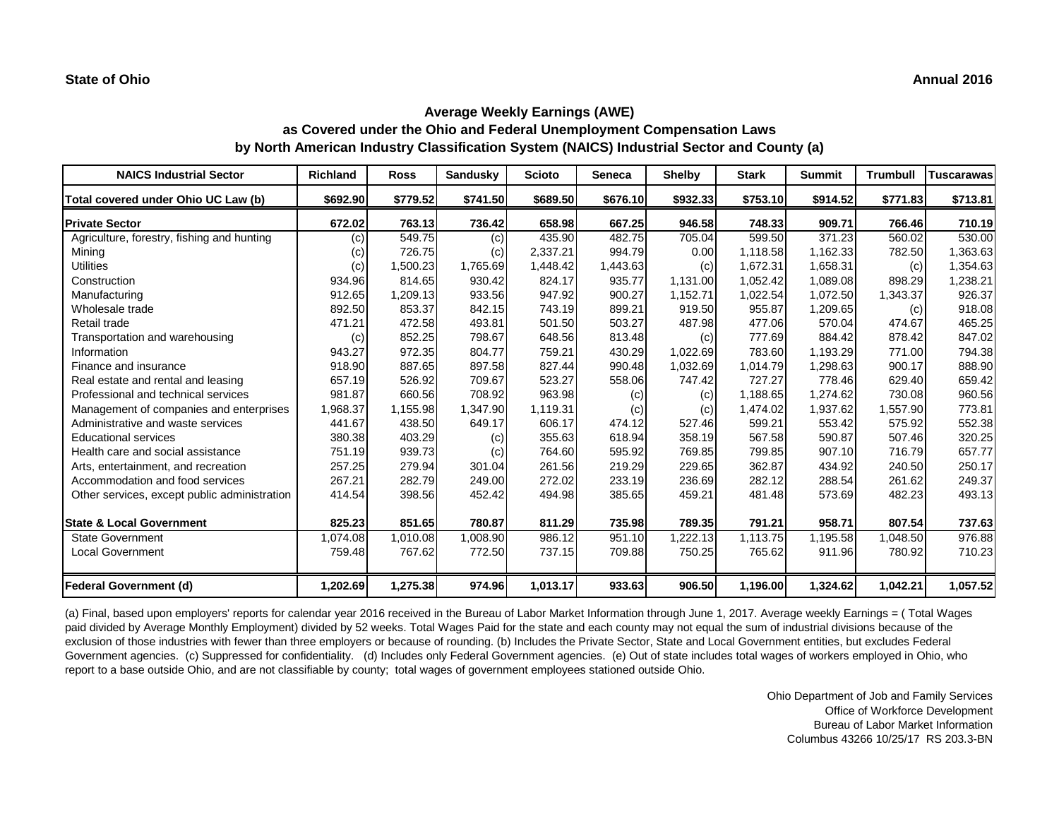| <b>NAICS Industrial Sector</b>               | <b>Richland</b> | <b>Ross</b> | <b>Sandusky</b> | <b>Scioto</b> | <b>Seneca</b> | <b>Shelby</b> | <b>Stark</b> | <b>Summit</b> | <b>Trumbull</b> | <b>Tuscarawas</b> |
|----------------------------------------------|-----------------|-------------|-----------------|---------------|---------------|---------------|--------------|---------------|-----------------|-------------------|
| Total covered under Ohio UC Law (b)          | \$692.90        | \$779.52    | \$741.50        | \$689.50      | \$676.10      | \$932.33      | \$753.10     | \$914.52      | \$771.83        | \$713.81          |
| <b>Private Sector</b>                        | 672.02          | 763.13      | 736.42          | 658.98        | 667.25        | 946.58        | 748.33       | 909.71        | 766.46          | 710.19            |
| Agriculture, forestry, fishing and hunting   | (c)             | 549.75      | (c)             | 435.90        | 482.75        | 705.04        | 599.50       | 371.23        | 560.02          | 530.00            |
| Mining                                       | (c)             | 726.75      | (c)             | 2,337.21      | 994.79        | 0.00          | 1,118.58     | 1,162.33      | 782.50          | 1,363.63          |
| <b>Utilities</b>                             | (c)             | 1,500.23    | 1,765.69        | 1,448.42      | 1,443.63      | (c)           | 1,672.31     | 1,658.31      | (c)             | 1,354.63          |
| Construction                                 | 934.96          | 814.65      | 930.42          | 824.17        | 935.77        | 1,131.00      | 1,052.42     | 1,089.08      | 898.29          | 1,238.21          |
| Manufacturing                                | 912.65          | 1,209.13    | 933.56          | 947.92        | 900.27        | 1,152.71      | 1,022.54     | 1,072.50      | 1,343.37        | 926.37            |
| Wholesale trade                              | 892.50          | 853.37      | 842.15          | 743.19        | 899.21        | 919.50        | 955.87       | 1,209.65      | (c)             | 918.08            |
| Retail trade                                 | 471.21          | 472.58      | 493.81          | 501.50        | 503.27        | 487.98        | 477.06       | 570.04        | 474.67          | 465.25            |
| Transportation and warehousing               | (c)             | 852.25      | 798.67          | 648.56        | 813.48        | (c)           | 777.69       | 884.42        | 878.42          | 847.02            |
| Information                                  | 943.27          | 972.35      | 804.77          | 759.21        | 430.29        | 1,022.69      | 783.60       | 1,193.29      | 771.00          | 794.38            |
| Finance and insurance                        | 918.90          | 887.65      | 897.58          | 827.44        | 990.48        | 1,032.69      | 1,014.79     | 1,298.63      | 900.17          | 888.90            |
| Real estate and rental and leasing           | 657.19          | 526.92      | 709.67          | 523.27        | 558.06        | 747.42        | 727.27       | 778.46        | 629.40          | 659.42            |
| Professional and technical services          | 981.87          | 660.56      | 708.92          | 963.98        | (c)           | (c)           | 1,188.65     | 1,274.62      | 730.08          | 960.56            |
| Management of companies and enterprises      | 1,968.37        | 1,155.98    | 1,347.90        | 1,119.31      | (c)           | (c)           | 1,474.02     | 1,937.62      | 1,557.90        | 773.81            |
| Administrative and waste services            | 441.67          | 438.50      | 649.17          | 606.17        | 474.12        | 527.46        | 599.21       | 553.42        | 575.92          | 552.38            |
| <b>Educational services</b>                  | 380.38          | 403.29      | (c)             | 355.63        | 618.94        | 358.19        | 567.58       | 590.87        | 507.46          | 320.25            |
| Health care and social assistance            | 751.19          | 939.73      | (c)             | 764.60        | 595.92        | 769.85        | 799.85       | 907.10        | 716.79          | 657.77            |
| Arts, entertainment, and recreation          | 257.25          | 279.94      | 301.04          | 261.56        | 219.29        | 229.65        | 362.87       | 434.92        | 240.50          | 250.17            |
| Accommodation and food services              | 267.21          | 282.79      | 249.00          | 272.02        | 233.19        | 236.69        | 282.12       | 288.54        | 261.62          | 249.37            |
| Other services, except public administration | 414.54          | 398.56      | 452.42          | 494.98        | 385.65        | 459.21        | 481.48       | 573.69        | 482.23          | 493.13            |
| <b>State &amp; Local Government</b>          | 825.23          | 851.65      | 780.87          | 811.29        | 735.98        | 789.35        | 791.21       | 958.71        | 807.54          | 737.63            |
| <b>State Government</b>                      | 1,074.08        | 1,010.08    | 1,008.90        | 986.12        | 951.10        | 1,222.13      | 1,113.75     | 1,195.58      | 1,048.50        | 976.88            |
| <b>Local Government</b>                      | 759.48          | 767.62      | 772.50          | 737.15        | 709.88        | 750.25        | 765.62       | 911.96        | 780.92          | 710.23            |
| Federal Government (d)                       | 1,202.69        | 1,275.38    | 974.96          | 1,013.17      | 933.63        | 906.50        | 1,196.00     | 1,324.62      | 1,042.21        | 1,057.52          |

(a) Final, based upon employers' reports for calendar year 2016 received in the Bureau of Labor Market Information through June 1, 2017. Average weekly Earnings = ( Total Wages paid divided by Average Monthly Employment) divided by 52 weeks. Total Wages Paid for the state and each county may not equal the sum of industrial divisions because of the exclusion of those industries with fewer than three employers or because of rounding. (b) Includes the Private Sector, State and Local Government entities, but excludes Federal Government agencies. (c) Suppressed for confidentiality. (d) Includes only Federal Government agencies. (e) Out of state includes total wages of workers employed in Ohio, who report to a base outside Ohio, and are not classifiable by county; total wages of government employees stationed outside Ohio.